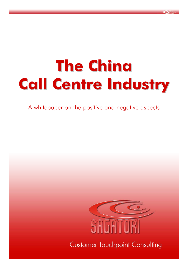# **The China Call Centre Industry**

A whitepaper on the positive and negative aspects

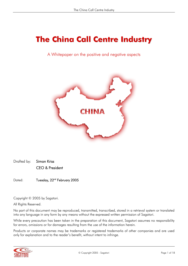## **The China Call Centre Industry**

A Whitepaper on the positive and negative aspects



Drafted by: Simon Kriss CEO & President

Dated: Tuesday, 22<sup>nd</sup> February 2005

Copyright © 2005 by Sagatori.

All Rights Reserved.

No part of this document may be reproduced, transmitted, transcribed, stored in a retrieval system or translated into any language in any form by any means without the expressed written permission of Sagatori.

While every precaution has been taken in the preparation of this document, Sagatori assumes no responsibility for errors, omissions or for damages resulting from the use of the information herein.

Products or corporate names may be trademarks or registered trademarks of other companies and are used only for explanation and to the reader's benefit, without intent to infringe.

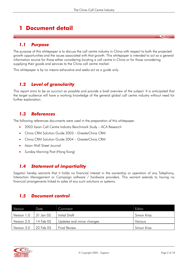## **1 Document detail**

#### *1.1 Purpose*

The purpose of this whitepaper is to discuss the call centre industry in China with respect to both the projected growth opportunities and the issues associated with that growth. This whitepaper is intended to act as a general information source for those either considering locating a call centre in China or for those considering supplying their goods and services to the China call centre market.

This whitepaper is by no means exhaustive and seeks act as a guide only.

#### *1.2 Level of granularity*

This report aims to be as succinct as possible and provide a brief overview of the subject. It is anticipated that the target audience will have a working knowledge of the general global call centre industry without need for further explanation.

#### *1.3 References*

The following references documents were used in the preparation of this whitepaper.

- 2003 Asian Call Centre Industry Benchmark Study ACA Research
- China CRM Solution Guide 2003 GreaterChina CRM
- China CRM Solution Guide 2004 GreaterChina CRM
- Asian Wall Street Journal
- Sunday Morning Post (Hong Kong)

#### *1.4 Statement of impartiality*

Sagatori hereby warrants that it holds no financial interest in the ownership or operation of any Telephony, Interaction Management or Campaign software / hardware providers. This warrant extends to having no financial arrangements linked to sales of any such solutions or systems.

#### *1.5 Document control*

| Version     | Date      | Comment                   | Editor      |
|-------------|-----------|---------------------------|-------------|
| Version 1.0 | 31 Jan 05 | Initial Draft             | Simon Kriss |
| Version 2.0 | 14 Feb 05 | Updates and minor changes | Various     |
| Version 3.0 | 22 Feb 05 | <b>Final Review</b>       | Simon Kriss |

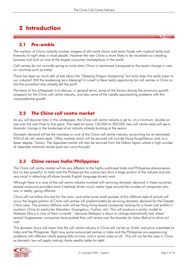## **2 Introduction**

#### *2.1 Pre-amble*

The mention of China instantly invokes imagery of old world charm and exotic foods with mystical herbs and fireworks lit night skies in most people. However the new China is more likely to be visualised as a leading business hub built on one of the largest consumer marketplaces in the world.

Call centres do not normally spring to mind when China is mentioned (compared to the recent change in view on countries such as India).

There has been so much talk of late about the "Sleeping Dragon Awakening" but what does this really mean to our industry? Will the awakening be a blessing? A curse? Is there really opportunity for call centres in China or has the proverbial ship already left the port?

The basis of this whitepaper is to discuss, in general terms, some of the factors driving the enormous growth prospects for the China call centre industry, and also some of the rapidly approaching problems with this unprecedented growth.

#### *2.2 The China call centre market*

As you will discover later in this whitepaper, the China call centre industry is set to, at a minimum, double on size over the next three to five years. The need for some 150,000 to 300,000 new call centre seats will see a dramatic change in the landscape of an industry already bursting at the seams.

Domestic demand will be the mainstay or core of the China call centre industry, accounting for an estimated 95% of all call centre seats. Other markets which will be serviced will include Hong Kong/Macau and, to a lesser degree, Taiwan. The Japanese market will also be serviced from the Dalian region where a high number of Japanese nationals reside (post-war carry through).

#### *2.3 China versus India/Philippines*

The China call centre market will be very different to the highly publicised India and Philippines phenomenon, but no less powerful. In India and the Philippines the outsourcers form a large portion of the industry and are very vocal in attracting off-shore (mostly English language driven) work.

Although there is a core of the call centre industry involved with servicing domestic demand in these countries, several outsource providers have (I believe) driven much media hype around the number of companies who are, in reality, going offshore.

China will not follow this trail for the main, and while some small pockets of this offshore style of activity will occur the largest portion of China call centres will predominately be servicing domestic demand for the Greater China area. The primary offshore work will be Hong Kong based companies looking for a lower cost profile in southern China (in particular Shenzhen, Guangzhou, Foshan, etc). This will produce a similar model to Malaysia (this is a view of them currently – because Malaysia is about to change dramatically too) where several Singaporean companies have pushed their call centre over the boarder (to Johor Bahru) to drive out cost.

This domestic focus will mean that the call centre industry in China will not be as 'fickle' and price orientated as India and the Philippines. Right now some outsourced centres in India and the Philippines are experiencing problems with offshore clients paying bills on time, and in some cases at all. This will not be the case in China as domestic law will apply making clients readily liable for debt.

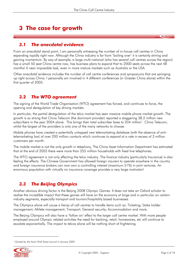## **3 The case for growth**

#### *3.1 The anecdotal evidence*

From an anecdotal stand point, I am personally witnessing the number of in-house call centres in China expanding rapidly right now. Although the China industry is far from 'boiling over' it is certainly stirring and gaining momentum. By way of example, a large multi-national (who has several call centres across the region) has a small 50 seat China centre now, has business plans to expand that to 2000 seats across the next 48 months! A near impossible task, even in more mature markets such as Australia or the USA.

Other anecdotal evidence includes the number of call centre conferences and symposiums that are springing up right across China. I personally am involved in 4 different conferences (in Greater China alone) within the first quarter of 2005.

#### *3.2 The WTO agreement*

The signing of the World Trade Organisation (WTO) agreement has forced, and continues to force, the opening and deregulation of key driving markets.

In particular, the partial deregulation of the telco market has seen massive mobile phone market growth. The growth is so strong that China Telecom (the dominant provider) reported a staggering 38.2 million new subscribers in the year 2004 alone. This brings their total subscriber base to 204 million<sup>1</sup>. China Telecom, whilst the largest of the providers is only one of the many networks to choose.

Mobile phones have created a potentially untapped new telemarketing database (with the absence of antitelemarketing law) of over 200 million contacts which continues to expand at a rate in excess of 3 million customers per month.

The mobile market is not the only growth in telephony. The China Asset Information Department has estimated that at the end of 2003 there were more than 255 million households with fixed line telephones.

The WTO agreement is not only effecting the telco industry. The finance industry (particularly Insurance) is also feeling the effects. The Chinese Government has allowed foreign insurers to operate anywhere in the country and foreign insurance brokers can now own a controlling interest (maximum 51%) in joint ventures. An enormous population with virtually no insurance coverage provides a very large motivator!

#### *3.3 The Beijing Olympics*

Another obvious driving factor is the Beijing 2008 Olympic Games. It does not take an Oxford scholar to realise the incredible impact that these games will have on the economy at large and in particular on certain industry segments, especially transport and tourism/hospitality based businesses.

The Olympics alone will cause a frenzy of call centres to handle items such as: Ticketing; Stake holder management; Athlete management; Transport; General security; Accommodation and more.

The Beijing Olympics will also have a 'follow on' effect to the larger call centre market. With more people employed around Olympic related activities the need for banking, retail, homewares, etc will continue to escalate exponentially. The impact to telcos alone will be nothing short of frightening.

<sup>&</sup>lt;sup>1</sup> Quoted by the Asian Wall Street Journal in January 2005

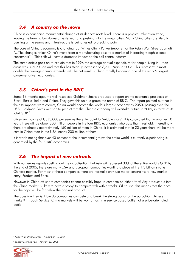#### *3.4 A country on the move*

China is experiencing monumental change at its deepest roots level. There is a physical relocation trend, leaving the farming backbone of yesteryear and pushing into the major cities. Many China cities are literally bursting at the seams and infrastructure is being tested to breaking point.

The core of China's economy is changing too. Writes Ginny Parker (reporter for the Asian Wall Street Journal) "…The changes reflect China's move from a manufacturing base to a market of increasingly sophisticated consumers"2 . This shift will have a dramatic impact on the call centre industry.

The same article goes on to explain that in 1996 the average annual expenditure for people living in urban areas was 3,919 Yuan and that this has steadily increased to 6,511 Yuan in 2003. This represents almost double the average annual expenditure! The net result is China rapidly becoming one of the world's largest consumer driven economies.

#### *3.5 China's part in the BRIC*

Some 18 months ago, the well respected Goldman Sachs produced a report on the economic prospects of Brazil, Russia, India and China. They gave this unique group the name of BRIC. The report pointed out that if the assumptions were correct, China would become the world's largest economy by 2050, passing even the USA. Goldman Sachs went on to predict that the Chinese economy will overtake Britain in 2005, in terms of its total GDP<sup>3</sup>

Given an income of US\$3,000 per year as the entry point to "middle class", it is calculated that in another 10 years there will be about 800 million people in the four BRIC economies who pass that threshold. Interestingly there are already approximately 150 million of them in China. It is estimated that in 20 years there will be more cars in China than in the USA, nearly 200 million of them!

It is worth noting that over 40 percent of the incremental growth the entire world is currently experiencing is generated by the four BRIC economies.

#### *3.6 The impact of new entrants*

With numerous reports spelling out the actualisation that Asia will represent 33% of the entire world's GDP by the end of 2005, there are many USA and European companies wanting a piece of the 1.3 billion strong Chinese market. For most of these companies there are normally only two major constraints to new market entry: Product and Price.

However in China off-shore companies cannot possibly hope to compete on either front! Any product put into the China market is likely to have a 'copy' to compete with within weeks. Of course, this means that the price for the copy will be far below the original product.

The question then is: How do companies compete and break the strong bonds of the parochial Chinese market? Through Service. China markets will be won or lost in a service based battle not a price-orientated battle.

*<sup>3</sup> Sunday Morning Post – January 30, 2005* 



*<sup>2</sup> Asian Wall Street Journal – November 19, 2004*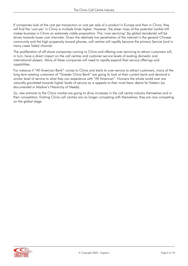If companies look at the cost per transaction or cost per sale of a product in Europe and then in China, they will find the 'cost per' in China is multiple times higher. However, the sheer mass of the potential market still makes business in China an extremely viable proposition. This 'over-servicing' (by global standards) will be driven towards lower cost channels. Given the relatively low penetration of the internet in the general Chinese community and the high propensity toward phones, call centres will rapidly become the primary Service (and in many cases Sales) channel.

The proliferation of off-shore companies coming to China and offering over-servicing to attract customers will, in turn, have a direct impact on the call centres and customer service levels of existing domestic and international players. Many of these companies will need to rapidly expand their service offerings and capabilities.

For instance if "All American Bank" comes to China and starts to over-service to attract customers, many of the long term existing customers of "Greater China Bank" are going to look at their current bank and demand a similar level of service to what they can experience with "All American". Humans the whole world over are naturally gravitated towards higher levels of service as is appeals to their most basic desire for Esteem (as documented in Maslow's Hierarchy of Needs).

So, new entrants to the China market are going to drive increases in the call centre industry themselves and in their competitors. Existing China call centres are no longer competing with themselves; they are now competing on the global stage.

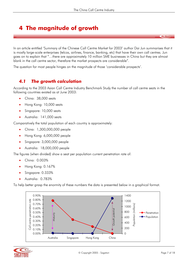## **4 The magnitude of growth**

In an article entitled 'Summary of the Chinese Call Centre Market for 2003' author Dai Jun summarises that it is mostly large-scale enterprises (telcos, airlines, finance, banking, etc) that have their own call centres. Jun goes on to explain that "…there are approximately 10 million SME businesses in China but they are almost blank in the call centre sector, therefore the market prospects are considerable".

The question for most people hinges on the magnitude of those 'considerable prospects'.

#### *4.1 The growth calculation*

According to the 2003 Asian Call Centre Industry Benchmark Study the number of call centre seats in the following countries existed as at June 2003:

- China: 38,000 seats
- Hong Kong: 10,000 seats
- Singapore: 10,000 seats
- Australia: 141,000 seats

Comparatively the total population of each country is approximately:

- China: 1,300,000,000 people
- Hong Kong: 6,000,000 people
- Singapore: 3,000,000 people
- Australia: 18,000,000 people

The figures (when divided) show a seat per population current penetration rate of:

- China: 0.003%
- Hong Kong: 0.167%
- Singapore: 0.333%
- Australia: 0.783%

To help better grasp the enormity of these numbers the data is presented below in a graphical format.



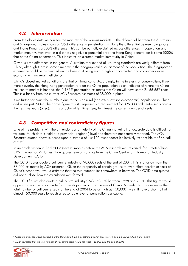#### *4.2 Interpretation*

From the above data we can see the maturity of the various markets $^4$  . The differential between the Australian and Singaporean rates shows a 235% difference in penetration, similarly the differential between Singapore and Hong Kong is a 200% difference. This can be partially explained across differences in population and market maturity. However, in a distinctly negative exponential drop the Hong Kong penetration is some 5000% that of the China penetration. This indicates an extreme market immaturity in China.

Obviously the difference in the general Australian market and all-up living standards are vastly different from China, although there is some similarity in the geographical disbursement of the population. The Singaporean experience could be discounted on the basis of it being such a highly concentrated and consumer driven economy with no rural inefficiency.

China's closest market conditions are that of Hong Kong. Accordingly, in the interests of conservatism, if we merely overlay the Hong Kong penetration rate on the China population as an indicator of where the China call centre market is headed, the 0.167% penetration estimates that China will have some 2,166,667 seats! This is a far cry from the current ACA Research estimates of 38,000 in place.

If we further discount the numbers due to the high rural (and often low socio-economic) population in China and utilise just 20% of the above figure this still represents a requirement for 395,333 call centre seats across the next five years (or so). This is a factor of ten times (yes, ten times) the current number of seats.

#### *4.3 Competitive and contradictory figures*

One of the problems with the dimensions and maturity of the China market is that accurate data is difficult to validate. Much data is held at a provincial (regional) level and therefore not centrally reported. The ACA Research quoted above is based upon a sample of just 100 respondents (collectively responsible for 366 call centres).

In an article written in April 2003 (several months before the ACA research was released) for GreaterChina CRM, the author Mr James Zhou quotes several statistics from the China Centre for Information Industry Development (CCID).

The CCID figures quote a call centre industry of 98,000 seats at the end of 2001. This is a far cry from the 38,000 estimated by ACA research. Given the propensity of certain groups to over inflate positive aspects of China's economy, I would estimate that the true number lies somewhere in between. The CCID data quoted did not disclose how the calculation was formed.

The CCID figures also quote a call centre industry CAGR of 38% between 1998 and 2001. This figure would appear to be close to accurate for a developing economy the size of China. Accordingly, if we estimate the total number of call centre seats at the end of 2004 to be as high as  $150,000^5\,$  we still have a short fall of almost 150,000 seats to reach a reasonable level of penetration per capita.

*<sup>5</sup> CCID estimated that the total number of call centre seats would not reach 150,000 until the end of 2006* 



*<sup>4</sup> Anecdotal evidence would suggest that the USA would have a penetration well in excess of 1% and the UK would be higher again*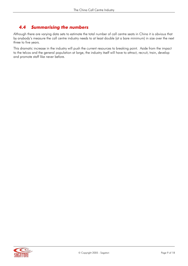#### *4.4 Summarising the numbers*

Although there are varying data sets to estimate the total number of call centre seats in China it is obvious that by anybody's measure the call centre industry needs to at least double (at a bare minimum) in size over the next three to five years.

This dramatic increase in the industry will push the current resources to breaking point. Aside from the impact to the telcos and the general population at large, the industry itself will have to attract, recruit, train, develop and promote staff like never before.

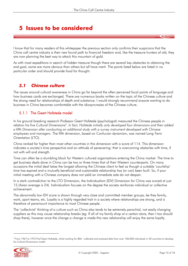### **5 Issues to be considered**

I know that for many readers of this whitepaper the previous section only confirms their suspicions that the China call centre industry is their new found path to financial freedom and, like the treasure hunters of old, they are now planning the best way to attack this mountain of gold.

As with most expeditions in search of hidden treasure though there are several key obstacles to obtaining the end goal, some are more obvious than others but all have merit. The points listed below are listed in no particular order and should provide food for thought.

#### *5.1 Chinese culture*

The issues around cultural awareness in China go far beyond the often perceived focal points of language and how business cards are exchanged. There are numerous books written on the topic of the Chinese culture and the strong need for relationships of depth and substance. I would strongly recommend anyone wanting to do business in China becomes comfortable with the idiosyncrasies of the Chinese culture.

#### 5.1.1 The Geert Hofstede model

In his ground breaking research Professor Geert Hofstede (psychologist) measured the Chinese people in relation his five Cultural Dimensions<sup>6</sup>. In fact, Hofstede initially only developed four dimensions and then added *a fifth Dimension after conducting an additional study with a survey instrument developed with Chinese employees and managers.* The fifth dimension, based on Confucian dynamism, was named Long-Term Orientation (LTO).

China ranked far higher than most other countries in this dimension with a score of 114. This dimension indicates a society's time perspective and an attitude of persevering: that is overcoming obstacles with time, if not with will and strength.

Time can often be a stumbling block for Western cultured organisations entering the China market. The time to get business deals done in China can be two or three times that of their Western counterparts. On many occasions the initial deal takes the longest allowing the Chinese client to feel as though a suitable 'courtship' time has expired and a mutually beneficial and sustainable relationship has (or can) been built. So, if your initial meeting with a Chinese company does not yield an immediate sale do not despair.

In a stark contradiction to the LTO Dimension, the Individualism (IDV) Dimension for China was scored at just 15 (Asian average is 24). Individualism focuses on the degree the society reinforces individual or collective achievement.

The abnormally low IDV score is shown through very close and committed member groups, be they family, work, sport teams, etc. Loyalty is a highly regarded trait in a society where relationships are strong, and is therefore of paramount importance to most Chinese people.

The 'collectivist' thinking of a culture such as China also tends to be extremely parochial, not easily changing suppliers as this may cause relationship breaks (eg: If all of my family shop at a certain store, then I too should shop there), however once the change a change is made this new relationship will enjoy the same loyalty.

*<sup>6</sup> From 1967 to 1973 Prof Geert Hofstede, whilst working for IBM, collected and analysed data from over 100,000 individuals in 50 countries to develop his Cultural Dimensions model* 

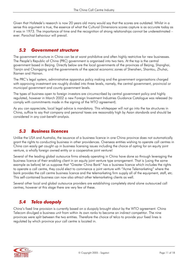Given that Hofstede's research is now 20 years old many would say that the scores are outdated. Whilst in a sense this argument is true, the essence of what the Cultural Dimensions scores capture is as accurate today as it was in 1973. The importance of time and the recognition of strong relationships cannot be underestimated – ever. Parochial behaviour will prevail.

#### *5.2 Government structure*

The government structure in China can be at worst prohibitive and often highly restrictive for new businesses. The People's Republic of China (PRC) government is organised into two tiers. At the top is the central government based in Beijing. Directly below are the local governments of the provinces of Beijing, Shanghai, Tianjin and Chongqing and the governments of the special economic zones of Shenzhen, Shantou, Zhuhai, Xiamen and Hainan.

The PRC's legal system, administrative apparatus policy making and the government organisations charged with approving investment are roughly divided into three levels, namely, the central government, provincial or municipal government and county government levels.

The types of business open to foreign investors are circumscribed by central government policy and highly regulated, however in March 2002 a new Foreign Investment Industries Guidance Catalogue was released (to comply with commitments made in the signing of the WTO agreement).

As you can appreciate, local legal advice is mandatory. This whitepaper will not go into the tax structures in China, suffice to say that company and personal taxes are reasonably high by Asian standards and should be considered in any cost-benefit analysis.

#### *5.3 Business licences*

Unlike the USA and Australia, the issuance of a business licence in one China province does not automatically grant the rights to conducting business in other providences. Overseas entities wishing to operate call centres in China can easily get caught up in business licensing issues including the choice of opting for an equity joint venture, a wholly foreign owned entity or a cooperative joint venture!

Several of the leading global outsource firms already operating in China have done so through leveraging the business licence of their enabling client in an equity joint venture type arrangement. That is (using the same example as before) let us suppose that "Greater China Bank" has a business licence which includes the rights to operate a call centre, they could elect to commence a joint venture with "Acme Telemarketing" where the bank provides the call centre business licence and the telemarketing firm supply all of the equipment, staff, etc. This self-contained business can now also attract other telemarketing clients as well.

Several other local and global outsource providers are establishing completely stand alone outsourced call centres, however at this stage there are very few of these.

#### *5.4 Telco duopoly*

China's fixed line provision is currently based on a duopoly brought about by the WTO agreement. China Telecom divulged a business unit from within its own ranks to become an indirect competitor. The nine provinces were split between the two entities. Therefore the choice of telco to provide your fixed lines is regulated by which province your call centre is located in.

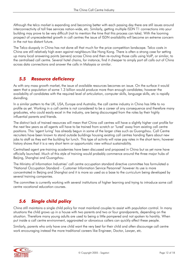Although the telco market is expanding and becoming better with each passing day there are still issues around interconnectivity of toll free services nation-wide, etc. Similarly, getting multiple ISDN T1 connections into your building may prove to be very difficult (not to mention the time that this process can take). With the looming prospect of unprecedented growth in call centres the issue of ISDN availability will become an extreme concern in the not too distant future.

The Telco duopoly in China has not done all that much for the price competition landscape. Telco costs in China are still relatively high even against neighbours like Hong Kong. There is often a strong case for setting up many local answering points (servers) across China and then re-routing those calls using VoIP, or similar, to the centralised call centre. Several hotel chains, for instance, find it cheaper to simply port all calls out of China across data connections and answer the calls in Malaysia or similar.

#### *5.5 Resource deficiency*

As with any mass growth market, the issue of available resources becomes an issue. On the surface it would seem that a population of some 1.3 billion would produce more than enough candidates; however the availability of candidates with the required level of articulation, computer skills, language skills, etc is rapidly dwindling.

In a similar pattern to the UK, USA, Europe and Australia, the call centre industry in China has little to no profile as yet. Working in a call centre is not considered to be a career of any consequence and therefore many graduates, who could easily excel in the industry, are being discouraged from the roles by their highly influential parents and friends.

The distinct lack of trained resources will mean that China call centres will have a slightly higher cost profile for the next few years as all agents will have to be trained from scratch or 'lured' away from existing call centre positions. This 'agent luring' has already begun in some of the larger cities such as Guangzhou. Call Centre recruiters have been known to stand outside buildings housing existing call centres handing flyers about new jobs to staff as they exit the building for lunch. This type of activity will raise pay rates in the short term; however history shows that it is a very short term or opportunistic view without sustainability.

Centralised agent pre-training academies have been discussed and proposed in China but as yet none have officially launched. Much of this style of training would probably commence around the three major hubs of Beijing, Shanghai and Guangzhou.

The Ministry of Information Industries' call centre occupation standard directive committee has formulated a 'National Occupation Standard – Customer Information Service Personnel' however its use is more concentrated in Beijing and Shanghai and it is more so used as a base to the curriculum being developed by several training companies.

The committee is currently working with several institutions of higher learning and trying to introduce some call centre vocational education courses.

#### *5.6 Single child policy*

China still maintains a single child policy for most mainland couples to assist with population control. In many situations the child grows up in a house with two parents and two or four grandparents, depending on the situation. Therefore many young adults are used to being a little pampered and not spoken to harshly. When put inside a call centre environment, aggravated or obnoxious callers can quickly affect these people.

Similarly, parents who only have one child want the very best for their child and often discourage call centre work encouraging instead the more traditional careers like Engineer, Doctor, Lawyer, etc.

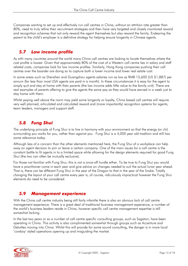Companies wanting to set up and effectively run call centres in China, without an attrition rate greater than 80%, need to truly refine their recruitment strategies and then have very targeted and closely monitored reward and recognition schemes that not only reward the agent themselves but also reward the family. Endearing the parent to the child's employer is a definitive strategy for helping ensure longevity in Chinese agents.

#### *5.7 Low income profile*

As with many countries around the world many China call centres are looking to locate themselves where the cost profile is lowest. Given that approximately 80% of the cost of a Western call centre lies in salary and staff related costs, companies look for low income profiles. Similarly, Hong Kong companies pushing their call centres over the boarder are doing so to capture both a lower income and lower real estate cost.

In some areas such as Shenzhen and Guangzhou agents salaries run as low as RMB 15,600 (US \$1,887) per annum (far less than most USA agents are paid in a month). In these circumstances it is easy for the agent to simply quit and stay at home with their parents (the low income adds little value to the family unit). There are real examples of parents offering to give the agents the same pay as they would have earned in a week just to stay home with them.

Whilst paying well above the norm may yield some longevity or loyalty, China based call centres will require very well planned, articulated and calculated reward and (more importantly) recognition systems for agents, team leaders, managers and support staff.

#### *5.8 Fung Shui*

The underlying principle of Fung Shui is to live in harmony with your environment so that the energy (or chi) surrounding you works for you, rather than against you. Fung Shui is a 4,000 year old tradition and still has some relevance today.

Although less of a concern than the other elements mentioned here, the Fung Shui of a workplace can help sway an agent decision to join or leave a certain company. One of the main issues for a call centre is the constant battle to fit agents in to a limited space while allowing for the design elements required for good Fung Shui (the two can often be mutually exclusive).

For those not familiar with Fung Shui, this is not a once-off hurdle either. To be true to Fung Shui you would have a practitioner come in each year and give advice on changes needed to suit the actual lunar year ahead. That is, there can be different Fung Shui in the year of the Dragon to that in the year of the Snake. Totally changing the layout of your call centre every year is, of course, ridiculously impractical however the Fung Shui elements do need to be considered.

#### *5.9 Management experience*

With the China call centre industry being still fairly infantile there is also an obvious lack of call centre management experience. There is a great deal of traditional business management experience, a number of the world's business leaders reside in China, however specific call centre management expertise is still somewhat lacking.

In the last two years or so a number of call centre specific consulting groups, such as Sagatori, have been operating in China. This activity is also complimented somewhat through groups such as Accenture and Deloittes moving into China. Whilst this will provide for some sound consulting, the danger is in more local 'cowboy' styled operations opening up and misguiding the market.

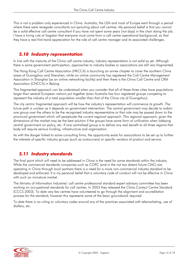This is not a problem only experienced in China. Australia, the USA and most of Europe went through a period where there were renegade consultants out sprouting about call centres. My personal belief is that you cannot be a solid effective call centre consultant if you have not spent some years (not days) in the chair doing the job. I have a hiring rule at Sagatori that everyone must come from a call centre operational background, so that they have a real first-hand appreciation for the role of call centre manager and its associated challenges.

#### *5.10 Industry representation*

In line with the maturity of the China call centre industry, industry representation is not solid as yet. Although there is some government participation, approaches to industry bodies or associations are still very fragmented.

The Hong Kong Call Centre Association (HKCCA) is launching an annex chapter to cover the southern China areas of Guangzhou and Shenzhen, while an online community has registered the Call Centre Management Association in Shanghai (as an online networking facility) and then there is the China Call Centre and CRM Association (CNCCA) in Beijing.

This fragmented approach can be understood when you consider that all of these three cities have populations larger than several European nations put together (even Australia has four registered groups competing to represent the industry of a total population smaller than that of the China city of Guangzhou).

The city centric fragmented approach will be how the industry's representation will commence its growth. The future path is unclear as it depends on government intervention. The central government may decide to ordain one group over the others to be the recognised industry representative or that role may be passed down to the provincial government which will perpetuate the current regional approach. This regional approach, given the dimensions of the market may be the best solution if the groups have some form of unification when lobbying central government on policy, etc. If one centralised group is to deliver any real benefit to all three regions that body will require serious funding, infrastructure and organisation.

As with the danger linked to some consulting firms, the opportunity exists for associations to be set up to further the interests of specific industry groups (such as outsourcers) or specific vendors of product and service.

#### *5.11 Industry standards*

The final point which will need to be addressed in China is the need for some standards within the industry. While the commercial standards companies such as COPC (and in the not too distant future CIAC) are operating in China through local partners there is a need for a more non-commercial industry standard to be developed and enforced. It is my personal belief that a voluntary code of conduct will not be effective in China with such an immature market.

The Ministry of Information Industries' call centre professional standard expert advisory committee has been working on occupational standards for call centres. In 2003 they released the China Contact Centre Standard (CCCS-2003). To date very few centres have volunteered to go through the alignment and accreditation process for the standard, however this represents some of the basic groundwork required.

To date there is no ruling or voluntary codes around any of the practices associated with telemarketing, use of diallers, etc.

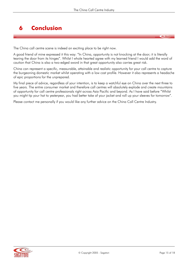## **6 Conclusion**

The China call centre scene is indeed an exciting place to be right now.

A good friend of mine expressed it this way: "In China, opportunity is not knocking at the door; it is literally tearing the door from its hinges". Whilst I whole hearted agree with my learned friend I would add the word of caution that China is also a two-edged sword in that great opportunity also carries great risk.

China can represent a specific, measurable, attainable and realistic opportunity for your call centre to capture the burgeoning domestic market whilst operating with a low cost profile. However it also represents a headache of epic proportions for the unprepared.

My final piece of advice, regardless of your intention, is to keep a watchful eye on China over the next three to five years. The entire consumer market and therefore call centres will absolutely explode and create mountains of opportunity for call centre professionals right across Asia Pacific and beyond. As I have said before "Whilst you might tip your hat to yesteryear, you had better take of your jacket and roll up your sleeves for tomorrow".

Please contact me personally if you would like any further advice on the China Call Centre Industry.

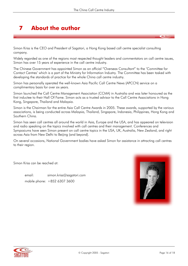## **7 About the author**

Simon Kriss is the CEO and President of Sagatori, a Hong Kong based call centre specialist consulting company.

Widely regarded as one of the regions most respected thought leaders and commentators on call centre issues, Simon has over 15 years of experience in the call centre industry.

The Chinese Government has appointed Simon as an official "Overseas Consultant" to the 'Committee for Contact Centres' which is a part of the Ministry for Information Industry. The Committee has been tasked with developing the standards of practice for the whole China call centre industry.

Simon has personally operated the well-known Asia Pacific Call Centre News (APCCN) service on a complimentary basis for over six years.

Simon launched the Call Centre Management Association (CCMA) in Australia and was later honoured as the first inductee to their Hall Of Fame. Simon acts as a trusted advisor to the Call Centre Associations in Hong Kong, Singapore, Thailand and Malaysia.

Simon is the Chairman for the entire Asia Call Centre Awards in 2005. These awards, supported by the various associations, is being conducted across Malaysia, Thailand, Singapore, Indonesia, Philippines, Hong Kong and Southern China.

Simon has seen call centres all around the world in Asia, Europe and the USA, and has appeared on television and radio speaking on the topics involved with call centres and their management. Conferences and Symposiums have seen Simon present on call centre topics in the USA, UK, Australia, New Zealand, and right across Asia from New Delhi to Beijing (and beyond).

On several occasions, National Government bodies have asked Simon for assistance in attracting call centres to their region.

Simon Kriss can be reached at:

 email: simon.kriss@sagatori.com mobile phone: +852 6307 3600



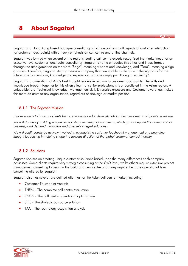## **8 About Sagatori**

Sagatori is a Hong Kong based boutique consultancy which specialises in all aspects of customer interaction (or customer touchpoints) with a heavy emphasis on call centre and online channels.

Sagatori was formed when several of the regions leading call centre experts recognised the market need for an executive-level customer touchpoint consultancy. Sagatori's name embodies this ethos and it was formed through the amalgamation on the word "Sage", meaning wisdom and knowledge, and "Tora", meaning a sign or omen. Therefore, Sagatori literally means a company that can enable its clients with the signposts for the future based on wisdom, knowledge and experience, or more simply put 'Thought Leadership'.

Sagatori is a consortium of Asia's best thought leaders in relation to customer touchpoints. The skills and knowledge brought together by this diverse team of senior professionals is unparalleled in the Asian region. A unique blend of Technical knowledge, Management skill, Enterprise exposure and Customer awareness makes this team an asset to any organisation, regardless of size, age or market position.

#### 8.1.1 The Sagatori mission

*Our mission is to have our clients be as passionate and enthusiastic about their customer touchpoints as we are.* 

*We will do this by building unique relationships with each of our clients, which go far beyond the normal call of business, and demand innovative and diversely integral solutions.* 

We will continuously be actively involved in evangelising customer touchpoint management and providing *thought leadership in helping shape the forward direction of the global customer contact industry.* 

#### 8.1.2 Solutions

Sagatori focuses on creating unique customer solutions based upon the many differences each company possesses. Some clients require very strategic consulting at the CxO level, whilst others require extensive project management consulting to assist in the build of a new centre and many require the more operational level consulting offered by Sagatori.

Sagatori also has several pre-defined offerings for the Asian call centre market, including:

- Customer Touchpoint Analysis
- THEM The complete call centre evaluation
- C2O2 The call centre operational optimisation
- SOS The strategic outsource solution
- TAA The technology acquisition analysis